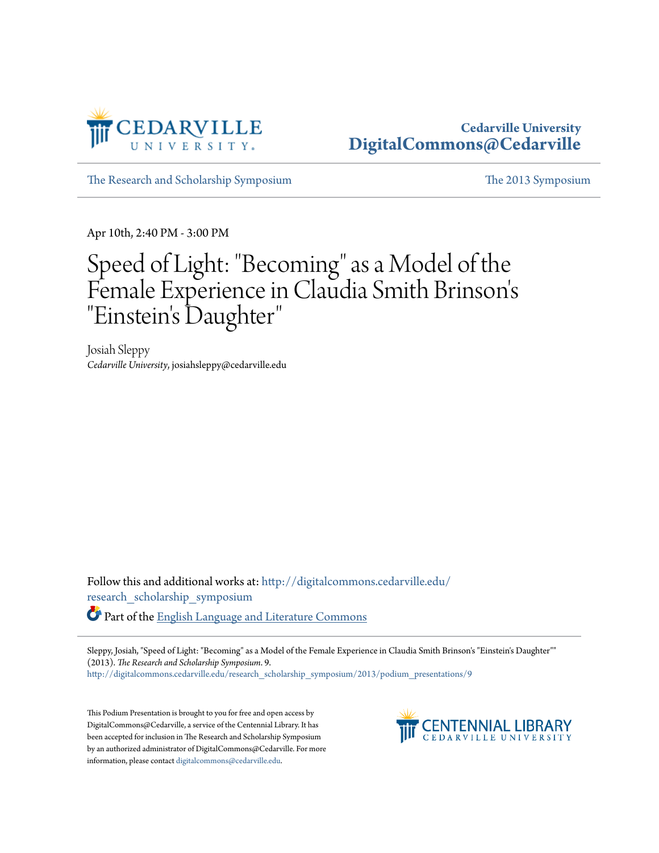

## **Cedarville University [DigitalCommons@Cedarville](http://digitalcommons.cedarville.edu?utm_source=digitalcommons.cedarville.edu%2Fresearch_scholarship_symposium%2F2013%2Fpodium_presentations%2F9&utm_medium=PDF&utm_campaign=PDFCoverPages)**

[The Research and Scholarship Symposium](http://digitalcommons.cedarville.edu/research_scholarship_symposium?utm_source=digitalcommons.cedarville.edu%2Fresearch_scholarship_symposium%2F2013%2Fpodium_presentations%2F9&utm_medium=PDF&utm_campaign=PDFCoverPages) [The 2013 Symposium](http://digitalcommons.cedarville.edu/research_scholarship_symposium/2013?utm_source=digitalcommons.cedarville.edu%2Fresearch_scholarship_symposium%2F2013%2Fpodium_presentations%2F9&utm_medium=PDF&utm_campaign=PDFCoverPages)

Apr 10th, 2:40 PM - 3:00 PM

## Speed of Light: "Becoming" as a Model of the Female Experience in Claudia Smith Brinson' s "Einstein's Daughter "

Josiah Sleppy *Cedarville University*, josiahsleppy@cedarville.edu

Follow this and additional works at: [http://digitalcommons.cedarville.edu/](http://digitalcommons.cedarville.edu/research_scholarship_symposium?utm_source=digitalcommons.cedarville.edu%2Fresearch_scholarship_symposium%2F2013%2Fpodium_presentations%2F9&utm_medium=PDF&utm_campaign=PDFCoverPages) [research\\_scholarship\\_symposium](http://digitalcommons.cedarville.edu/research_scholarship_symposium?utm_source=digitalcommons.cedarville.edu%2Fresearch_scholarship_symposium%2F2013%2Fpodium_presentations%2F9&utm_medium=PDF&utm_campaign=PDFCoverPages) Part of the [English Language and Literature Commons](http://network.bepress.com/hgg/discipline/455?utm_source=digitalcommons.cedarville.edu%2Fresearch_scholarship_symposium%2F2013%2Fpodium_presentations%2F9&utm_medium=PDF&utm_campaign=PDFCoverPages)

Sleppy, Josiah, "Speed of Light: "Becoming" as a Model of the Female Experience in Claudia Smith Brinson's "Einstein's Daughter"" (2013). *The Research and Scholarship Symposium*. 9.

[http://digitalcommons.cedarville.edu/research\\_scholarship\\_symposium/2013/podium\\_presentations/9](http://digitalcommons.cedarville.edu/research_scholarship_symposium/2013/podium_presentations/9?utm_source=digitalcommons.cedarville.edu%2Fresearch_scholarship_symposium%2F2013%2Fpodium_presentations%2F9&utm_medium=PDF&utm_campaign=PDFCoverPages)

This Podium Presentation is brought to you for free and open access by DigitalCommons@Cedarville, a service of the Centennial Library. It has been accepted for inclusion in The Research and Scholarship Symposium by an authorized administrator of DigitalCommons@Cedarville. For more information, please contact [digitalcommons@cedarville.edu.](mailto:digitalcommons@cedarville.edu)

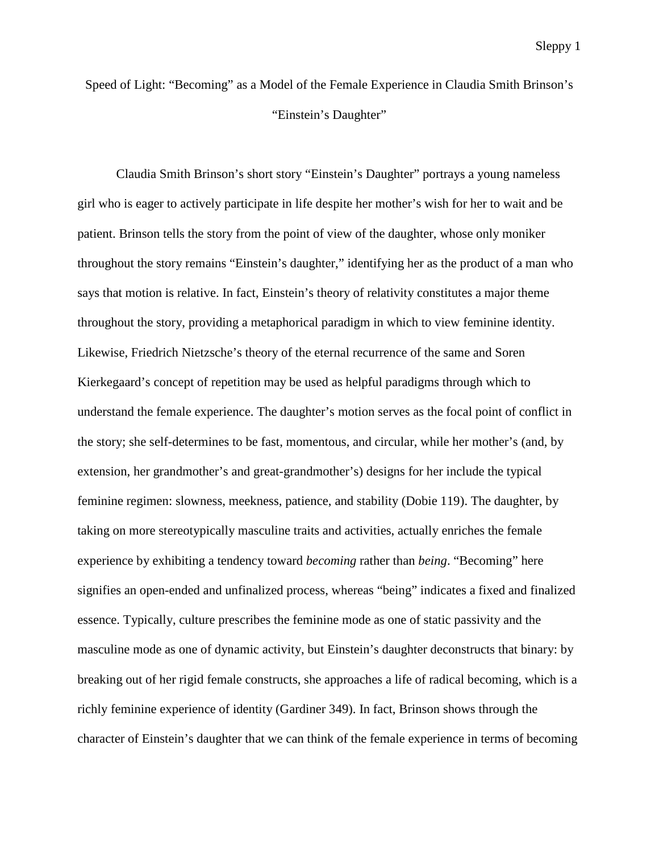Speed of Light: "Becoming" as a Model of the Female Experience in Claudia Smith Brinson's "Einstein's Daughter"

Claudia Smith Brinson's short story "Einstein's Daughter" portrays a young nameless girl who is eager to actively participate in life despite her mother's wish for her to wait and be patient. Brinson tells the story from the point of view of the daughter, whose only moniker throughout the story remains "Einstein's daughter," identifying her as the product of a man who says that motion is relative. In fact, Einstein's theory of relativity constitutes a major theme throughout the story, providing a metaphorical paradigm in which to view feminine identity. Likewise, Friedrich Nietzsche's theory of the eternal recurrence of the same and Soren Kierkegaard's concept of repetition may be used as helpful paradigms through which to understand the female experience. The daughter's motion serves as the focal point of conflict in the story; she self-determines to be fast, momentous, and circular, while her mother's (and, by extension, her grandmother's and great-grandmother's) designs for her include the typical feminine regimen: slowness, meekness, patience, and stability (Dobie 119). The daughter, by taking on more stereotypically masculine traits and activities, actually enriches the female experience by exhibiting a tendency toward *becoming* rather than *being*. "Becoming" here signifies an open-ended and unfinalized process, whereas "being" indicates a fixed and finalized essence. Typically, culture prescribes the feminine mode as one of static passivity and the masculine mode as one of dynamic activity, but Einstein's daughter deconstructs that binary: by breaking out of her rigid female constructs, she approaches a life of radical becoming, which is a richly feminine experience of identity (Gardiner 349). In fact, Brinson shows through the character of Einstein's daughter that we can think of the female experience in terms of becoming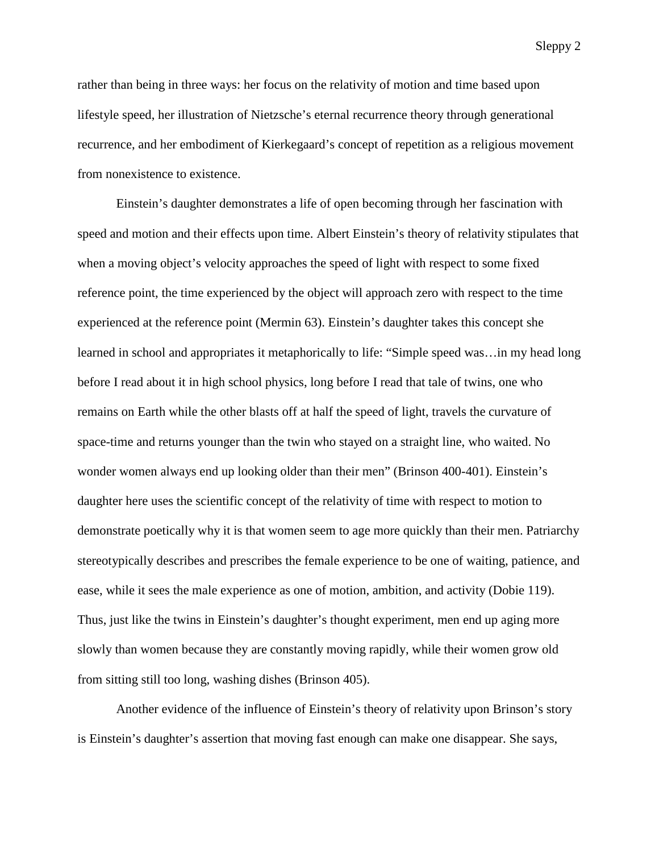Sleppy 2

rather than being in three ways: her focus on the relativity of motion and time based upon lifestyle speed, her illustration of Nietzsche's eternal recurrence theory through generational recurrence, and her embodiment of Kierkegaard's concept of repetition as a religious movement from nonexistence to existence.

Einstein's daughter demonstrates a life of open becoming through her fascination with speed and motion and their effects upon time. Albert Einstein's theory of relativity stipulates that when a moving object's velocity approaches the speed of light with respect to some fixed reference point, the time experienced by the object will approach zero with respect to the time experienced at the reference point (Mermin 63). Einstein's daughter takes this concept she learned in school and appropriates it metaphorically to life: "Simple speed was…in my head long before I read about it in high school physics, long before I read that tale of twins, one who remains on Earth while the other blasts off at half the speed of light, travels the curvature of space-time and returns younger than the twin who stayed on a straight line, who waited. No wonder women always end up looking older than their men" (Brinson 400-401). Einstein's daughter here uses the scientific concept of the relativity of time with respect to motion to demonstrate poetically why it is that women seem to age more quickly than their men. Patriarchy stereotypically describes and prescribes the female experience to be one of waiting, patience, and ease, while it sees the male experience as one of motion, ambition, and activity (Dobie 119). Thus, just like the twins in Einstein's daughter's thought experiment, men end up aging more slowly than women because they are constantly moving rapidly, while their women grow old from sitting still too long, washing dishes (Brinson 405).

Another evidence of the influence of Einstein's theory of relativity upon Brinson's story is Einstein's daughter's assertion that moving fast enough can make one disappear. She says,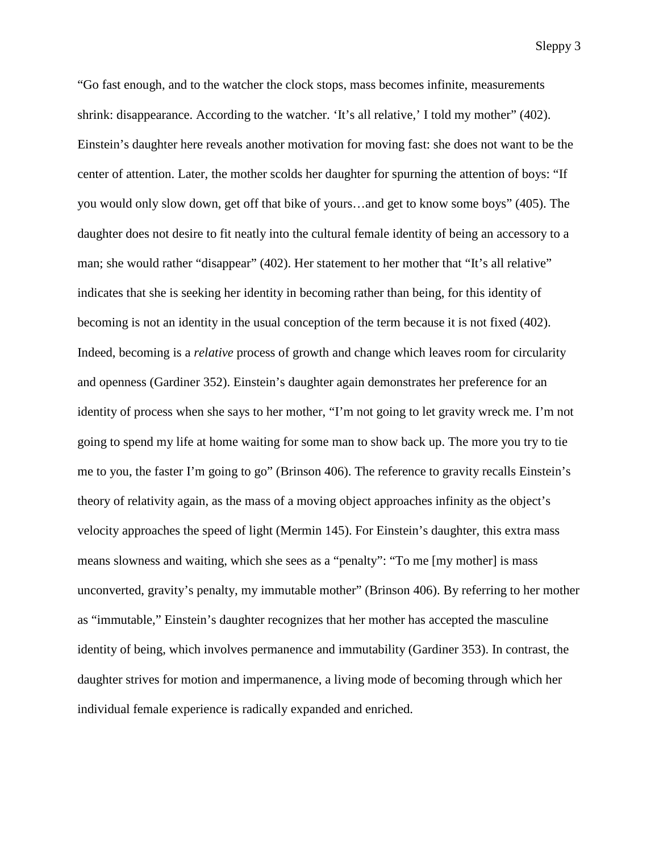"Go fast enough, and to the watcher the clock stops, mass becomes infinite, measurements shrink: disappearance. According to the watcher. 'It's all relative,' I told my mother" (402). Einstein's daughter here reveals another motivation for moving fast: she does not want to be the center of attention. Later, the mother scolds her daughter for spurning the attention of boys: "If you would only slow down, get off that bike of yours…and get to know some boys" (405). The daughter does not desire to fit neatly into the cultural female identity of being an accessory to a man; she would rather "disappear" (402). Her statement to her mother that "It's all relative" indicates that she is seeking her identity in becoming rather than being, for this identity of becoming is not an identity in the usual conception of the term because it is not fixed (402). Indeed, becoming is a *relative* process of growth and change which leaves room for circularity and openness (Gardiner 352). Einstein's daughter again demonstrates her preference for an identity of process when she says to her mother, "I'm not going to let gravity wreck me. I'm not going to spend my life at home waiting for some man to show back up. The more you try to tie me to you, the faster I'm going to go" (Brinson 406). The reference to gravity recalls Einstein's theory of relativity again, as the mass of a moving object approaches infinity as the object's velocity approaches the speed of light (Mermin 145). For Einstein's daughter, this extra mass means slowness and waiting, which she sees as a "penalty": "To me [my mother] is mass unconverted, gravity's penalty, my immutable mother" (Brinson 406). By referring to her mother as "immutable," Einstein's daughter recognizes that her mother has accepted the masculine identity of being, which involves permanence and immutability (Gardiner 353). In contrast, the daughter strives for motion and impermanence, a living mode of becoming through which her individual female experience is radically expanded and enriched.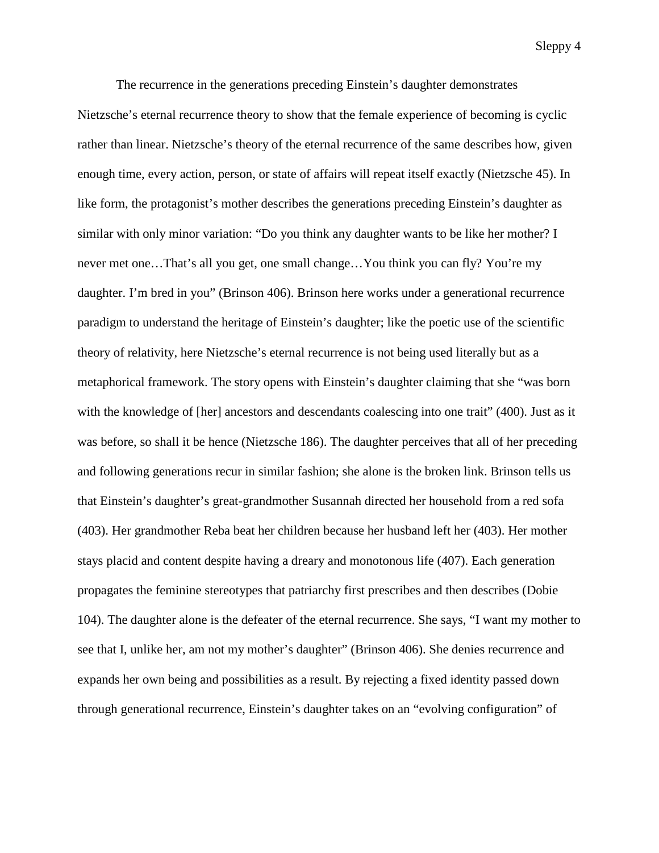Sleppy 4

The recurrence in the generations preceding Einstein's daughter demonstrates Nietzsche's eternal recurrence theory to show that the female experience of becoming is cyclic rather than linear. Nietzsche's theory of the eternal recurrence of the same describes how, given enough time, every action, person, or state of affairs will repeat itself exactly (Nietzsche 45). In like form, the protagonist's mother describes the generations preceding Einstein's daughter as similar with only minor variation: "Do you think any daughter wants to be like her mother? I never met one…That's all you get, one small change…You think you can fly? You're my daughter. I'm bred in you" (Brinson 406). Brinson here works under a generational recurrence paradigm to understand the heritage of Einstein's daughter; like the poetic use of the scientific theory of relativity, here Nietzsche's eternal recurrence is not being used literally but as a metaphorical framework. The story opens with Einstein's daughter claiming that she "was born with the knowledge of [her] ancestors and descendants coalescing into one trait" (400). Just as it was before, so shall it be hence (Nietzsche 186). The daughter perceives that all of her preceding and following generations recur in similar fashion; she alone is the broken link. Brinson tells us that Einstein's daughter's great-grandmother Susannah directed her household from a red sofa (403). Her grandmother Reba beat her children because her husband left her (403). Her mother stays placid and content despite having a dreary and monotonous life (407). Each generation propagates the feminine stereotypes that patriarchy first prescribes and then describes (Dobie 104). The daughter alone is the defeater of the eternal recurrence. She says, "I want my mother to see that I, unlike her, am not my mother's daughter" (Brinson 406). She denies recurrence and expands her own being and possibilities as a result. By rejecting a fixed identity passed down through generational recurrence, Einstein's daughter takes on an "evolving configuration" of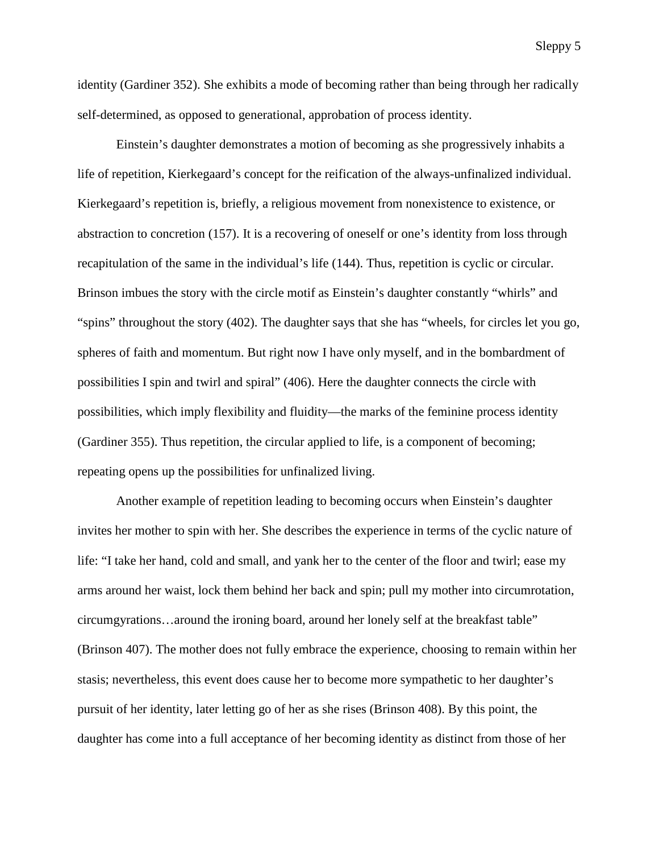identity (Gardiner 352). She exhibits a mode of becoming rather than being through her radically self-determined, as opposed to generational, approbation of process identity.

Einstein's daughter demonstrates a motion of becoming as she progressively inhabits a life of repetition, Kierkegaard's concept for the reification of the always-unfinalized individual. Kierkegaard's repetition is, briefly, a religious movement from nonexistence to existence, or abstraction to concretion (157). It is a recovering of oneself or one's identity from loss through recapitulation of the same in the individual's life (144). Thus, repetition is cyclic or circular. Brinson imbues the story with the circle motif as Einstein's daughter constantly "whirls" and "spins" throughout the story (402). The daughter says that she has "wheels, for circles let you go, spheres of faith and momentum. But right now I have only myself, and in the bombardment of possibilities I spin and twirl and spiral" (406). Here the daughter connects the circle with possibilities, which imply flexibility and fluidity—the marks of the feminine process identity (Gardiner 355). Thus repetition, the circular applied to life, is a component of becoming; repeating opens up the possibilities for unfinalized living.

Another example of repetition leading to becoming occurs when Einstein's daughter invites her mother to spin with her. She describes the experience in terms of the cyclic nature of life: "I take her hand, cold and small, and yank her to the center of the floor and twirl; ease my arms around her waist, lock them behind her back and spin; pull my mother into circumrotation, circumgyrations…around the ironing board, around her lonely self at the breakfast table" (Brinson 407). The mother does not fully embrace the experience, choosing to remain within her stasis; nevertheless, this event does cause her to become more sympathetic to her daughter's pursuit of her identity, later letting go of her as she rises (Brinson 408). By this point, the daughter has come into a full acceptance of her becoming identity as distinct from those of her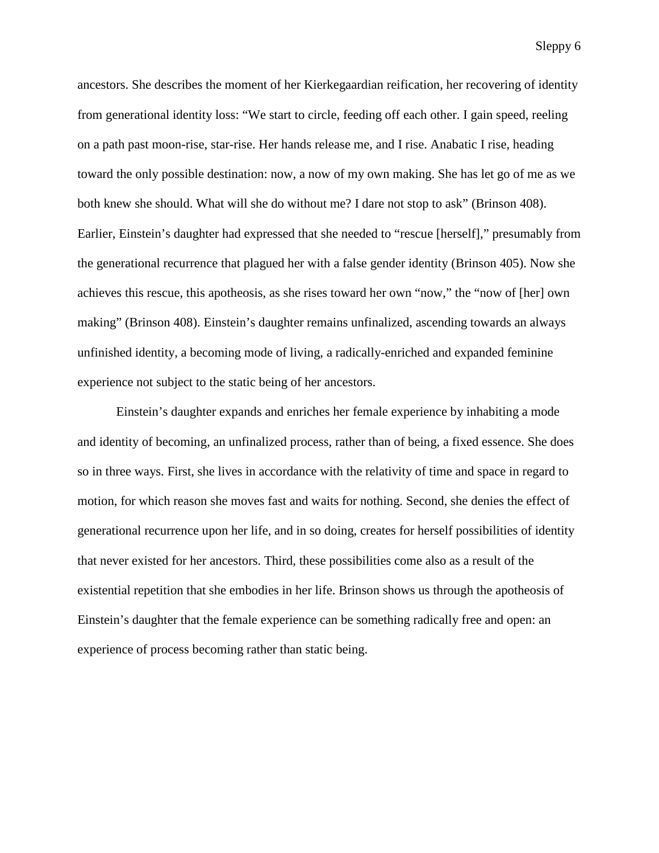Sleppy 6

ancestors. She describes the moment of her Kierkegaardian reification, her recovering of identity from generational identity loss: "We start to circle, feeding off each other. I gain speed, reeling on a path past moon-rise, star-rise. Her hands release me, and I rise. Anabatic I rise, heading toward the only possible destination: now, a now of my own making. She has let go of me as we both knew she should. What will she do without me? I dare not stop to ask" (Brinson 408). Earlier, Einstein's daughter had expressed that she needed to "rescue [herself]," presumably from the generational recurrence that plagued her with a false gender identity (Brinson 405). Now she achieves this rescue, this apotheosis, as she rises toward her own "now," the "now of [her] own making" (Brinson 408). Einstein's daughter remains unfinalized, ascending towards an always unfinished identity, a becoming mode of living, a radically-enriched and expanded feminine experience not subject to the static being of her ancestors.

Einstein's daughter expands and enriches her female experience by inhabiting a mode and identity of becoming, an unfinalized process, rather than of being, a fixed essence. She does so in three ways. First, she lives in accordance with the relativity of time and space in regard to motion, for which reason she moves fast and waits for nothing. Second, she denies the effect of generational recurrence upon her life, and in so doing, creates for herself possibilities of identity that never existed for her ancestors. Third, these possibilities come also as a result of the existential repetition that she embodies in her life. Brinson shows us through the apotheosis of Einstein's daughter that the female experience can be something radically free and open: an experience of process becoming rather than static being.